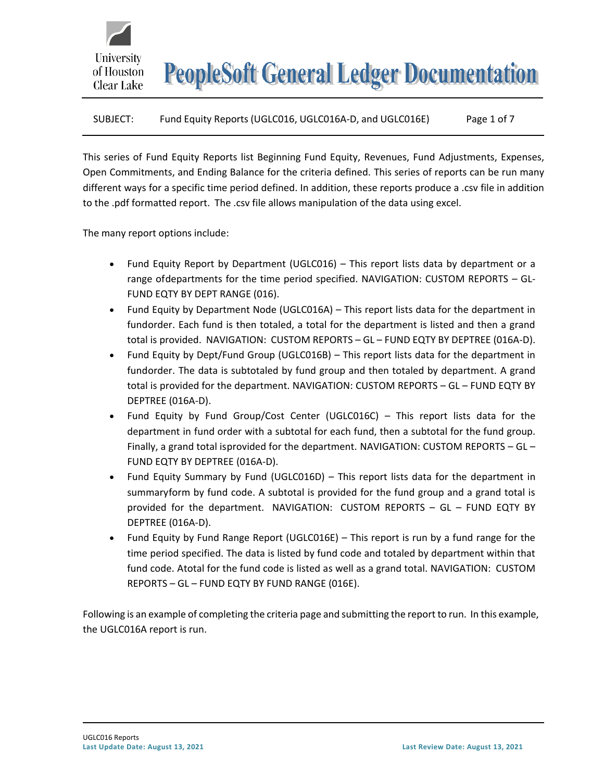# SUBJECT: Fund Equity Reports (UGLC016, UGLC016A-D, and UGLC016E) Page 1 of 7

This series of Fund Equity Reports list Beginning Fund Equity, Revenues, Fund Adjustments, Expenses, Open Commitments, and Ending Balance for the criteria defined. This series of reports can be run many different ways for a specific time period defined. In addition, these reports produce a .csv file in addition to the .pdf formatted report. The .csv file allows manipulation of the data using excel.

The many report options include:

University

of Houston Clear Lake

- Fund Equity Report by Department (UGLC016) This report lists data by department or a range ofdepartments for the time period specified. NAVIGATION: CUSTOM REPORTS – GL-FUND EQTY BY DEPT RANGE (016).
- Fund Equity by Department Node (UGLC016A) This report lists data for the department in fundorder. Each fund is then totaled, a total for the department is listed and then a grand total is provided. NAVIGATION: CUSTOM REPORTS – GL – FUND EQTY BY DEPTREE (016A-D).
- Fund Equity by Dept/Fund Group (UGLC016B) This report lists data for the department in fundorder. The data is subtotaled by fund group and then totaled by department. A grand total is provided for the department. NAVIGATION: CUSTOM REPORTS – GL – FUND EQTY BY DEPTREE (016A-D).
- Fund Equity by Fund Group/Cost Center (UGLC016C) This report lists data for the department in fund order with a subtotal for each fund, then a subtotal for the fund group. Finally, a grand total isprovided for the department. NAVIGATION: CUSTOM REPORTS – GL – FUND EQTY BY DEPTREE (016A-D).
- Fund Equity Summary by Fund (UGLC016D) This report lists data for the department in summaryform by fund code. A subtotal is provided for the fund group and a grand total is provided for the department. NAVIGATION: CUSTOM REPORTS – GL – FUND EQTY BY DEPTREE (016A-D).
- Fund Equity by Fund Range Report (UGLC016E) This report is run by a fund range for the time period specified. The data is listed by fund code and totaled by department within that fund code. Atotal for the fund code is listed as well as a grand total. NAVIGATION: CUSTOM REPORTS – GL – FUND EQTY BY FUND RANGE (016E).

Following is an example of completing the criteria page and submitting the report to run. In this example, the UGLC016A report is run.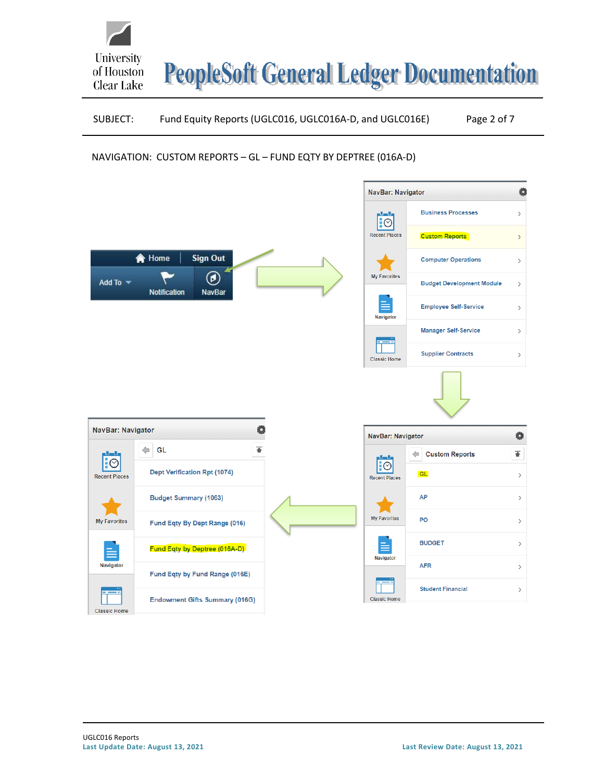

# SUBJECT: Fund Equity Reports (UGLC016, UGLC016A-D, and UGLC016E) Page 2 of 7

# NAVIGATION: CUSTOM REPORTS – GL – FUND EQTY BY DEPTREE (016A-D)

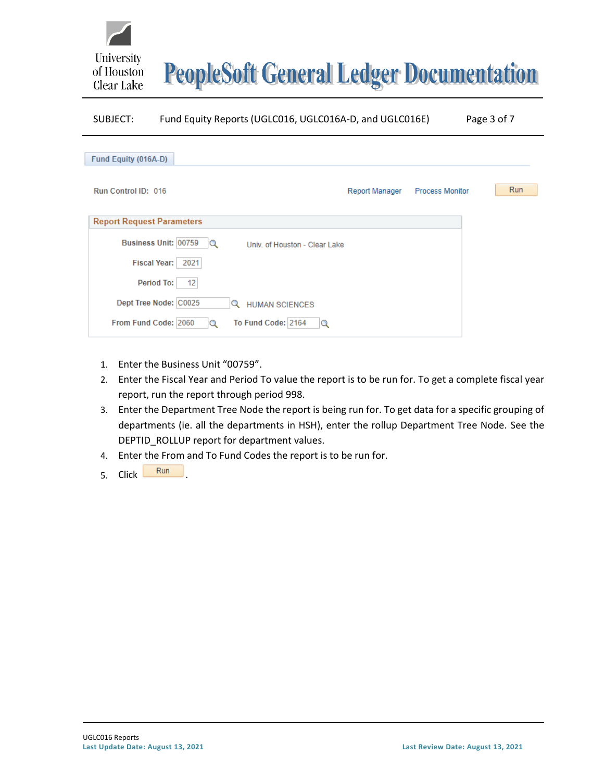

## SUBJECT: Fund Equity Reports (UGLC016, UGLC016A-D, and UGLC016E) Page 3 of 7

| Fund Equity (016A-D)                                         |                       |                        |     |
|--------------------------------------------------------------|-----------------------|------------------------|-----|
|                                                              |                       |                        |     |
| Run Control ID: 016                                          | <b>Report Manager</b> | <b>Process Monitor</b> | Run |
|                                                              |                       |                        |     |
| <b>Report Request Parameters</b>                             |                       |                        |     |
| Business Unit: 00759<br>l Q<br>Univ. of Houston - Clear Lake |                       |                        |     |
| <b>Fiscal Year:</b><br>2021                                  |                       |                        |     |
| Period To:<br>12                                             |                       |                        |     |
| Dept Tree Node: C0025<br>Q<br><b>HUMAN SCIENCES</b>          |                       |                        |     |
| To Fund Code: 2164<br>From Fund Code: 2060<br>Q<br>Q         |                       |                        |     |

- 1. Enter the Business Unit "00759".
- 2. Enter the Fiscal Year and Period To value the report is to be run for. To get a complete fiscal year report, run the report through period 998.
- 3. Enter the Department Tree Node the report is being run for. To get data for a specific grouping of departments (ie. all the departments in HSH), enter the rollup Department Tree Node. See the DEPTID\_ROLLUP report for department values.
- 4. Enter the From and To Fund Codes the report is to be run for.
- 5. Click Run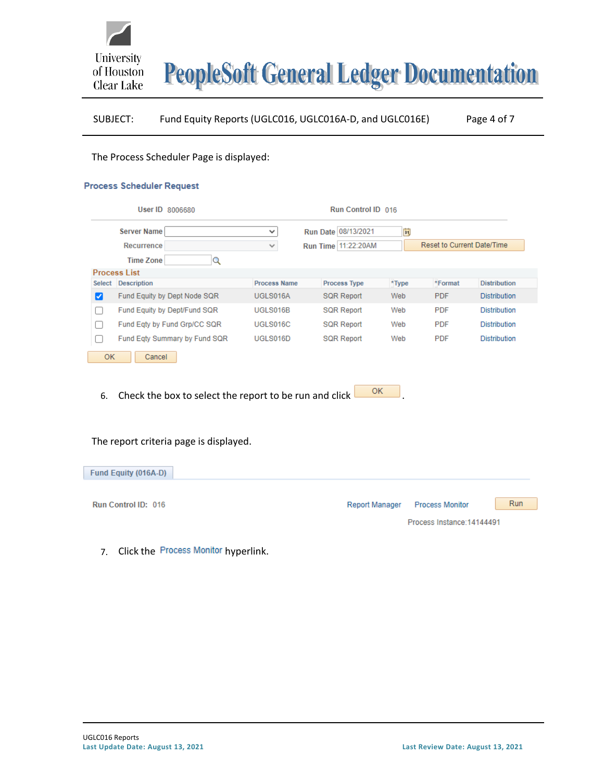

# SUBJECT: Fund Equity Reports (UGLC016, UGLC016A-D, and UGLC016E) Page 4 of 7

#### The Process Scheduler Page is displayed:

#### **Process Scheduler Request**

|           |                     | User ID 8006680               |                     | Run Control ID 016  |       |                                   |                     |
|-----------|---------------------|-------------------------------|---------------------|---------------------|-------|-----------------------------------|---------------------|
|           | <b>Server Name</b>  |                               | $\checkmark$        | Run Date 08/13/2021 | Ħ     |                                   |                     |
|           | Recurrence          |                               | ٧                   | Run Time 11:22:20AM |       | <b>Reset to Current Date/Time</b> |                     |
|           | <b>Time Zone</b>    | Q                             |                     |                     |       |                                   |                     |
|           | <b>Process List</b> |                               |                     |                     |       |                                   |                     |
| Select    | <b>Description</b>  |                               | <b>Process Name</b> | <b>Process Type</b> | *Type | *Format                           | <b>Distribution</b> |
| ✓         |                     | Fund Equity by Dept Node SQR  | UGLS016A            | <b>SQR Report</b>   | Web   | <b>PDF</b>                        | <b>Distribution</b> |
|           |                     | Fund Equity by Dept/Fund SQR  | UGLS016B            | <b>SQR Report</b>   | Web   | <b>PDF</b>                        | <b>Distribution</b> |
|           |                     | Fund Eqty by Fund Grp/CC SQR  | UGLS016C            | <b>SQR Report</b>   | Web   | <b>PDF</b>                        | <b>Distribution</b> |
|           |                     | Fund Eqty Summary by Fund SQR | UGLS016D            | <b>SQR Report</b>   | Web   | <b>PDF</b>                        | <b>Distribution</b> |
| <b>OK</b> | Cancel              |                               |                     |                     |       |                                   |                     |
|           |                     |                               |                     |                     |       |                                   |                     |

6. Check the box to select the report to be run and click  $\overline{\text{OK}}$ 

## The report criteria page is displayed.

| Fund Equity (016A-D) |                                                        |
|----------------------|--------------------------------------------------------|
|                      |                                                        |
| Run Control ID: 016  | <b>Run</b><br>Report Manager<br><b>Process Monitor</b> |
|                      | Process Instance: 14144491                             |

7. Click the Process Monitor hyperlink.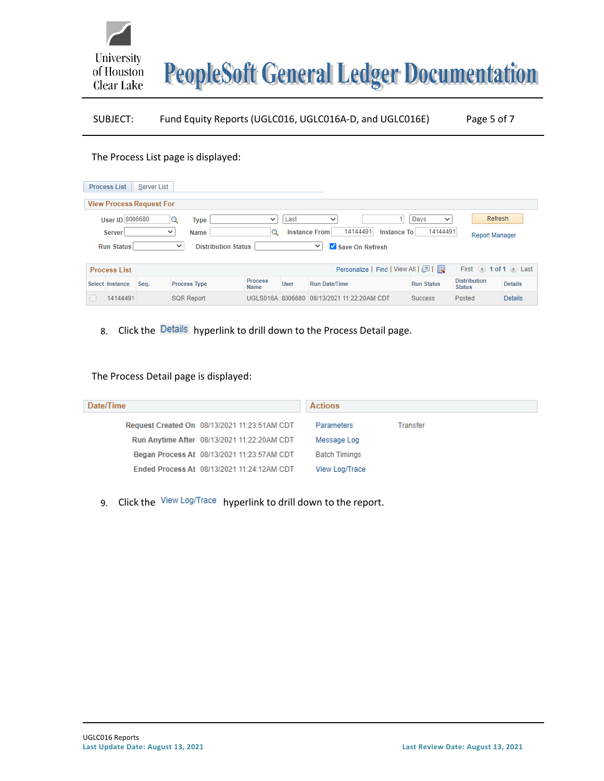# SUBJECT: Fund Equity Reports (UGLC016, UGLC016A-D, and UGLC016E) Page 5 of 7

### The Process List page is displayed:

University

of Houston Clear Lake

| <b>Process List</b>             | Server List  |                     |                               |             |                                  |                                   |                                                       |                |
|---------------------------------|--------------|---------------------|-------------------------------|-------------|----------------------------------|-----------------------------------|-------------------------------------------------------|----------------|
| <b>View Process Request For</b> |              |                     |                               |             |                                  |                                   |                                                       |                |
| User ID 8006680                 |              | <b>Type</b><br>Q    | $\checkmark$                  | Last        | $\checkmark$                     | Days<br>$\checkmark$              | Refresh                                               |                |
| Server                          | $\checkmark$ | Name                | Q                             |             | 14144491<br><b>Instance From</b> | 14144491<br><b>Instance To</b>    | <b>Report Manager</b>                                 |                |
| <b>Run Status</b>               |              | $\checkmark$        | <b>Distribution Status</b>    |             | Save On Refresh<br>◡             |                                   |                                                       |                |
|                                 |              |                     |                               |             |                                  |                                   |                                                       |                |
|                                 |              |                     |                               |             |                                  |                                   |                                                       |                |
| <b>Process List</b>             |              |                     |                               |             |                                  | Personalize   Find   View All   2 | First $\textcircled{4}$ 1 of 1 $\textcircled{6}$ Last |                |
| Select Instance                 | Seq.         | <b>Process Type</b> | <b>Process</b><br><b>Name</b> | <b>User</b> | <b>Run Date/Time</b>             | <b>Run Status</b>                 | <b>Distribution</b><br><b>Status</b>                  | <b>Details</b> |

## 8. Click the Details hyperlink to drill down to the Process Detail page.

The Process Detail page is displayed:

| Date/Time                                    |                                             | <b>Actions</b>       |          |  |  |  |  |
|----------------------------------------------|---------------------------------------------|----------------------|----------|--|--|--|--|
| Request Created On 08/13/2021 11:23:51AM CDT |                                             | Parameters           | Transfer |  |  |  |  |
|                                              | Run Anytime After 08/13/2021 11:22:20AM CDT | Message Log          |          |  |  |  |  |
|                                              | Began Process At 08/13/2021 11:23:57AM CDT  | <b>Batch Timings</b> |          |  |  |  |  |
|                                              | Ended Process At 08/13/2021 11:24:12AM CDT  | View Log/Trace       |          |  |  |  |  |
|                                              |                                             |                      |          |  |  |  |  |

9. Click the View Log/Trace hyperlink to drill down to the report.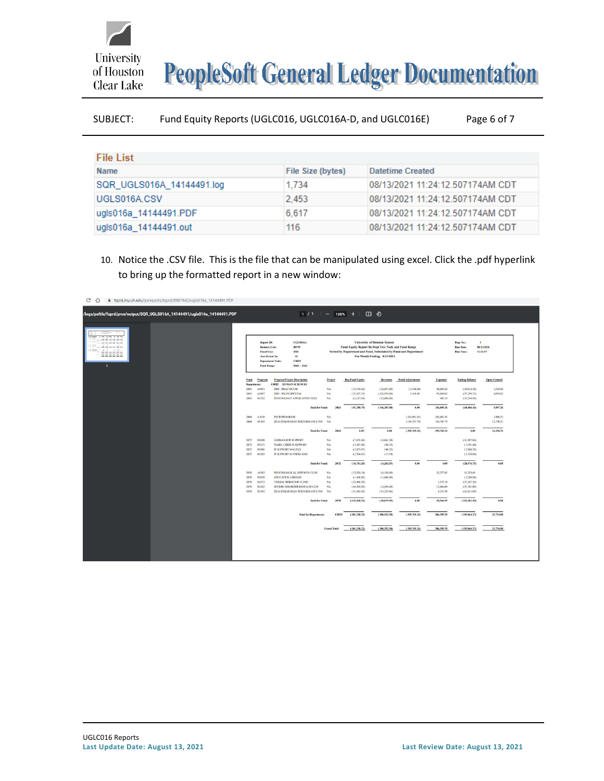

| SUBJECT: | Fund Equity Reports (UGLC016, UGLC016A-D, and UGLC016E) |  | Page 6 of 7 |
|----------|---------------------------------------------------------|--|-------------|
|          |                                                         |  |             |

| <b>File List</b>          |                   |                                  |
|---------------------------|-------------------|----------------------------------|
| <b>Name</b>               | File Size (bytes) | Datetime Created                 |
| SQR UGLS016A 14144491.log | 1.734             | 08/13/2021 11:24:12.507174AM CDT |
| UGLS016A.CSV              | 2.453             | 08/13/2021 11:24:12.507174AM CDT |
| ugls016a_14144491.PDF     | 6.617             | 08/13/2021 11:24:12.507174AM CDT |
| ugls016a_14144491.out     | 116               | 08/13/2021 11:24:12.507174AM CDT |

10. Notice the .CSV file. This is the file that can be manipulated using excel. Click the .pdf hyperlink to bring up the formatted report in a new window:

| <b>Program/Project Description</b><br><b>Beg Fund Equity</b><br>Fund<br>Program<br>Project<br><b>Revenues</b><br><b>Fund Adjustments</b><br><b>Expenses</b><br><b>Ending Balance</b><br><b>Open Commit</b><br><b>C0025 HUMAN SCIENCES</b><br>Department:<br><b>HSH - PRACTICUM</b><br>NA<br>(15,744.42)<br>(3,100.00)<br>(10.012.18)<br>A0401<br>(32,057.00)<br>40,889.24<br>1,538.44<br>2063<br>3,100.00<br>A0407<br>HSH - HS, INCIDENTAL<br>(33, 397.33)<br>(102,070.00)<br>95,068.02<br>(37,299.31)<br>4,058.82<br>2063<br>NA<br>D1332<br>PSYCHOLOGY APPLICATION FEES<br>$_{\rm NA}$<br>(13.294.94)<br>2063<br>(2,117.04)<br>(12,080.00)<br>902.10<br>(51.258,79)<br>0.00<br>(60, 606, 43)<br>(146, 207, 00)<br>136,859.36<br>5,597.26<br><b>Total for Fund:</b><br>2063<br><b>A1018</b><br><b>PSYD PROGRAM</b><br>NA<br>(265,061.45)<br>265,061.45<br>3.406.53<br>2064<br>HEALTH&HUMAN PERFORMANCE INS NA<br>(134, 707.79)<br>134,707.79<br>2064<br>D1303<br>12,750.21<br>0.00<br>0.00<br>(399,769,24)<br><b>Total for Fund:</b><br>2064<br>399,769.24<br>0.00<br>16,156,74<br><b>LERMAN,D PI SUPPORT</b><br>$_{\rm NA}$<br>(7,835.68)<br>(4,061.38)<br>(11,897.06)<br>D1048<br>2072<br>D1171<br><b>WARD, CHRIS PI SUPPORT</b><br>NA.<br>(3,497,08)<br>(94.32)<br>(3,591,40)<br>2072<br>2072<br>D1180<br>PI SUPPORT MALIN.D<br>NA<br>(2.873.97)<br>(94.32)<br>(2.968.29)<br>2072<br>D1285<br>PI SUPPORT SUTHERLAND<br>NA<br>(2.504.47)<br>(15.53)<br>(2.520.00)<br>0.00<br>(16,711.20)<br>0.00<br>(20.976.75)<br>0.00<br><b>Total for Fund:</b><br>2072<br>(4,265.55)<br>PSYCHOLOGICAL SERVICES CLINI<br>(12.924.14)<br>32,277.82<br>11,229.68<br>A0383<br>NA<br>(8,124.00)<br>2078<br><b>EDUCATION ABROAD</b><br>NA<br>(1,400,00)<br>(1,800.00)<br>(3,200,00)<br>2078<br>D1059<br>D1173<br>VERBAL BEHAVIOR CLINIC<br>$_{\rm NA}$<br>(22.960.39)<br>1.373.10<br>(21,587,29)<br>2078<br>D1202<br>SEVERE DISORDER RESEACH CLIN<br><b>NA</b><br>(44, 439.89)<br>(4.926.09)<br>12,064.09<br>(37,301.89)<br>2078<br>HEALTH&HUMAN PERFORMANCE INS<br>(51,643.81)<br>(62, 621, 69)<br>D1303<br>NA<br>(15, 229.86)<br>4,251.98<br>2078<br>(133,368,23)<br>0.00<br>(113,481.19)<br>0.00<br><b>Total for Fund:</b><br>2078<br>(30.079.95)<br>49,966.99<br><b>Total for Department:</b><br>(201.338.22)<br>(180.552.50)<br>(399,769,24)<br>586, 595.59<br>(195,064,37)<br>21,754.00<br>C0025 | 222222 |  | <b>Report ID:</b><br><b>Business Unit:</b><br><b>Fiscal Year:</b><br><b>Acct Period To:</b><br><b>Department Node:</b><br><b>Fund Range:</b> | <b>UGLS016A</b><br>60759<br>2021<br>12<br>C0025<br>$2060 - 2164$ |  | Fund Equity Report By Dept Tree Node and Fund Range<br>Sorted by Department and Fund, Subtotaled by Fund and Department | <b>University of Houston System</b><br>For Month Ending: 8/31/2021 |  | Page No.:<br><b>Run Date:</b><br><b>Run Time:</b> | $\mathbf{1}$<br>08/13/2021<br>11:23:57 |
|---------------------------------------------------------------------------------------------------------------------------------------------------------------------------------------------------------------------------------------------------------------------------------------------------------------------------------------------------------------------------------------------------------------------------------------------------------------------------------------------------------------------------------------------------------------------------------------------------------------------------------------------------------------------------------------------------------------------------------------------------------------------------------------------------------------------------------------------------------------------------------------------------------------------------------------------------------------------------------------------------------------------------------------------------------------------------------------------------------------------------------------------------------------------------------------------------------------------------------------------------------------------------------------------------------------------------------------------------------------------------------------------------------------------------------------------------------------------------------------------------------------------------------------------------------------------------------------------------------------------------------------------------------------------------------------------------------------------------------------------------------------------------------------------------------------------------------------------------------------------------------------------------------------------------------------------------------------------------------------------------------------------------------------------------------------------------------------------------------------------------------------------------------------------------------------------------------------------------------------------------------------------------------------------------------------------------------------------------------------------------------------|--------|--|----------------------------------------------------------------------------------------------------------------------------------------------|------------------------------------------------------------------|--|-------------------------------------------------------------------------------------------------------------------------|--------------------------------------------------------------------|--|---------------------------------------------------|----------------------------------------|
|                                                                                                                                                                                                                                                                                                                                                                                                                                                                                                                                                                                                                                                                                                                                                                                                                                                                                                                                                                                                                                                                                                                                                                                                                                                                                                                                                                                                                                                                                                                                                                                                                                                                                                                                                                                                                                                                                                                                                                                                                                                                                                                                                                                                                                                                                                                                                                                       |        |  |                                                                                                                                              |                                                                  |  |                                                                                                                         |                                                                    |  |                                                   |                                        |
|                                                                                                                                                                                                                                                                                                                                                                                                                                                                                                                                                                                                                                                                                                                                                                                                                                                                                                                                                                                                                                                                                                                                                                                                                                                                                                                                                                                                                                                                                                                                                                                                                                                                                                                                                                                                                                                                                                                                                                                                                                                                                                                                                                                                                                                                                                                                                                                       |        |  |                                                                                                                                              |                                                                  |  |                                                                                                                         |                                                                    |  |                                                   |                                        |
|                                                                                                                                                                                                                                                                                                                                                                                                                                                                                                                                                                                                                                                                                                                                                                                                                                                                                                                                                                                                                                                                                                                                                                                                                                                                                                                                                                                                                                                                                                                                                                                                                                                                                                                                                                                                                                                                                                                                                                                                                                                                                                                                                                                                                                                                                                                                                                                       |        |  |                                                                                                                                              |                                                                  |  |                                                                                                                         |                                                                    |  |                                                   |                                        |
|                                                                                                                                                                                                                                                                                                                                                                                                                                                                                                                                                                                                                                                                                                                                                                                                                                                                                                                                                                                                                                                                                                                                                                                                                                                                                                                                                                                                                                                                                                                                                                                                                                                                                                                                                                                                                                                                                                                                                                                                                                                                                                                                                                                                                                                                                                                                                                                       |        |  |                                                                                                                                              |                                                                  |  |                                                                                                                         |                                                                    |  |                                                   |                                        |
|                                                                                                                                                                                                                                                                                                                                                                                                                                                                                                                                                                                                                                                                                                                                                                                                                                                                                                                                                                                                                                                                                                                                                                                                                                                                                                                                                                                                                                                                                                                                                                                                                                                                                                                                                                                                                                                                                                                                                                                                                                                                                                                                                                                                                                                                                                                                                                                       |        |  |                                                                                                                                              |                                                                  |  |                                                                                                                         |                                                                    |  |                                                   |                                        |
|                                                                                                                                                                                                                                                                                                                                                                                                                                                                                                                                                                                                                                                                                                                                                                                                                                                                                                                                                                                                                                                                                                                                                                                                                                                                                                                                                                                                                                                                                                                                                                                                                                                                                                                                                                                                                                                                                                                                                                                                                                                                                                                                                                                                                                                                                                                                                                                       |        |  |                                                                                                                                              |                                                                  |  |                                                                                                                         |                                                                    |  |                                                   |                                        |
|                                                                                                                                                                                                                                                                                                                                                                                                                                                                                                                                                                                                                                                                                                                                                                                                                                                                                                                                                                                                                                                                                                                                                                                                                                                                                                                                                                                                                                                                                                                                                                                                                                                                                                                                                                                                                                                                                                                                                                                                                                                                                                                                                                                                                                                                                                                                                                                       |        |  |                                                                                                                                              |                                                                  |  |                                                                                                                         |                                                                    |  |                                                   |                                        |
|                                                                                                                                                                                                                                                                                                                                                                                                                                                                                                                                                                                                                                                                                                                                                                                                                                                                                                                                                                                                                                                                                                                                                                                                                                                                                                                                                                                                                                                                                                                                                                                                                                                                                                                                                                                                                                                                                                                                                                                                                                                                                                                                                                                                                                                                                                                                                                                       |        |  |                                                                                                                                              |                                                                  |  |                                                                                                                         |                                                                    |  |                                                   |                                        |
|                                                                                                                                                                                                                                                                                                                                                                                                                                                                                                                                                                                                                                                                                                                                                                                                                                                                                                                                                                                                                                                                                                                                                                                                                                                                                                                                                                                                                                                                                                                                                                                                                                                                                                                                                                                                                                                                                                                                                                                                                                                                                                                                                                                                                                                                                                                                                                                       |        |  |                                                                                                                                              |                                                                  |  |                                                                                                                         |                                                                    |  |                                                   |                                        |
|                                                                                                                                                                                                                                                                                                                                                                                                                                                                                                                                                                                                                                                                                                                                                                                                                                                                                                                                                                                                                                                                                                                                                                                                                                                                                                                                                                                                                                                                                                                                                                                                                                                                                                                                                                                                                                                                                                                                                                                                                                                                                                                                                                                                                                                                                                                                                                                       |        |  |                                                                                                                                              |                                                                  |  |                                                                                                                         |                                                                    |  |                                                   |                                        |
|                                                                                                                                                                                                                                                                                                                                                                                                                                                                                                                                                                                                                                                                                                                                                                                                                                                                                                                                                                                                                                                                                                                                                                                                                                                                                                                                                                                                                                                                                                                                                                                                                                                                                                                                                                                                                                                                                                                                                                                                                                                                                                                                                                                                                                                                                                                                                                                       |        |  |                                                                                                                                              |                                                                  |  |                                                                                                                         |                                                                    |  |                                                   |                                        |
|                                                                                                                                                                                                                                                                                                                                                                                                                                                                                                                                                                                                                                                                                                                                                                                                                                                                                                                                                                                                                                                                                                                                                                                                                                                                                                                                                                                                                                                                                                                                                                                                                                                                                                                                                                                                                                                                                                                                                                                                                                                                                                                                                                                                                                                                                                                                                                                       |        |  |                                                                                                                                              |                                                                  |  |                                                                                                                         |                                                                    |  |                                                   |                                        |
|                                                                                                                                                                                                                                                                                                                                                                                                                                                                                                                                                                                                                                                                                                                                                                                                                                                                                                                                                                                                                                                                                                                                                                                                                                                                                                                                                                                                                                                                                                                                                                                                                                                                                                                                                                                                                                                                                                                                                                                                                                                                                                                                                                                                                                                                                                                                                                                       |        |  |                                                                                                                                              |                                                                  |  |                                                                                                                         |                                                                    |  |                                                   |                                        |
|                                                                                                                                                                                                                                                                                                                                                                                                                                                                                                                                                                                                                                                                                                                                                                                                                                                                                                                                                                                                                                                                                                                                                                                                                                                                                                                                                                                                                                                                                                                                                                                                                                                                                                                                                                                                                                                                                                                                                                                                                                                                                                                                                                                                                                                                                                                                                                                       |        |  |                                                                                                                                              |                                                                  |  |                                                                                                                         |                                                                    |  |                                                   |                                        |
|                                                                                                                                                                                                                                                                                                                                                                                                                                                                                                                                                                                                                                                                                                                                                                                                                                                                                                                                                                                                                                                                                                                                                                                                                                                                                                                                                                                                                                                                                                                                                                                                                                                                                                                                                                                                                                                                                                                                                                                                                                                                                                                                                                                                                                                                                                                                                                                       |        |  |                                                                                                                                              |                                                                  |  |                                                                                                                         |                                                                    |  |                                                   |                                        |
|                                                                                                                                                                                                                                                                                                                                                                                                                                                                                                                                                                                                                                                                                                                                                                                                                                                                                                                                                                                                                                                                                                                                                                                                                                                                                                                                                                                                                                                                                                                                                                                                                                                                                                                                                                                                                                                                                                                                                                                                                                                                                                                                                                                                                                                                                                                                                                                       |        |  |                                                                                                                                              |                                                                  |  |                                                                                                                         |                                                                    |  |                                                   |                                        |
|                                                                                                                                                                                                                                                                                                                                                                                                                                                                                                                                                                                                                                                                                                                                                                                                                                                                                                                                                                                                                                                                                                                                                                                                                                                                                                                                                                                                                                                                                                                                                                                                                                                                                                                                                                                                                                                                                                                                                                                                                                                                                                                                                                                                                                                                                                                                                                                       |        |  |                                                                                                                                              |                                                                  |  |                                                                                                                         |                                                                    |  |                                                   |                                        |
|                                                                                                                                                                                                                                                                                                                                                                                                                                                                                                                                                                                                                                                                                                                                                                                                                                                                                                                                                                                                                                                                                                                                                                                                                                                                                                                                                                                                                                                                                                                                                                                                                                                                                                                                                                                                                                                                                                                                                                                                                                                                                                                                                                                                                                                                                                                                                                                       |        |  |                                                                                                                                              |                                                                  |  |                                                                                                                         |                                                                    |  |                                                   |                                        |
|                                                                                                                                                                                                                                                                                                                                                                                                                                                                                                                                                                                                                                                                                                                                                                                                                                                                                                                                                                                                                                                                                                                                                                                                                                                                                                                                                                                                                                                                                                                                                                                                                                                                                                                                                                                                                                                                                                                                                                                                                                                                                                                                                                                                                                                                                                                                                                                       |        |  |                                                                                                                                              |                                                                  |  |                                                                                                                         |                                                                    |  |                                                   |                                        |
|                                                                                                                                                                                                                                                                                                                                                                                                                                                                                                                                                                                                                                                                                                                                                                                                                                                                                                                                                                                                                                                                                                                                                                                                                                                                                                                                                                                                                                                                                                                                                                                                                                                                                                                                                                                                                                                                                                                                                                                                                                                                                                                                                                                                                                                                                                                                                                                       |        |  |                                                                                                                                              |                                                                  |  |                                                                                                                         |                                                                    |  |                                                   |                                        |